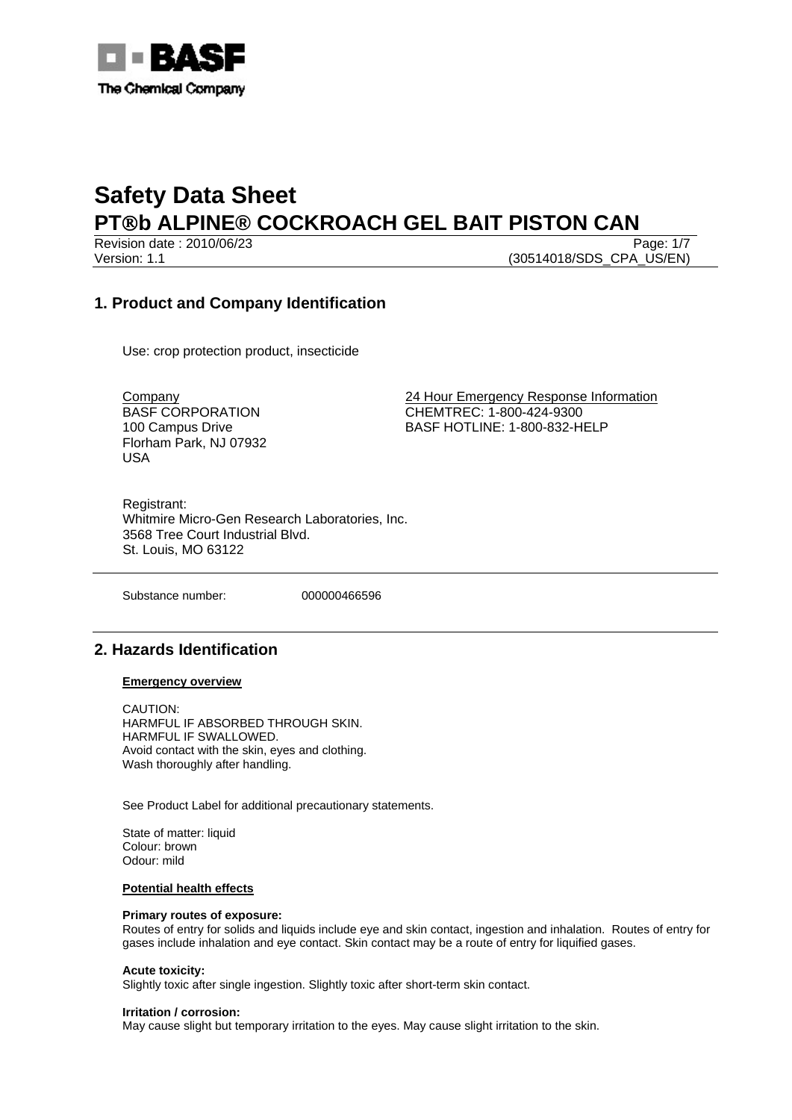

Revision date : 2010/06/23 Page: 1/7 Version: 1.1 (30514018/SDS\_CPA\_US/EN)

## **1. Product and Company Identification**

Use: crop protection product, insecticide

BASF CORPORATION 100 Campus Drive Florham Park, NJ 07932 USA

Company 24 Hour Emergency Response Information CHEMTREC: 1-800-424-9300 BASF HOTLINE: 1-800-832-HELP

Registrant: Whitmire Micro-Gen Research Laboratories, Inc. 3568 Tree Court Industrial Blvd. St. Louis, MO 63122

Substance number: 000000466596

### **2. Hazards Identification**

### **Emergency overview**

CAUTION: HARMFUL IF ABSORBED THROUGH SKIN. HARMFUL IF SWALLOWED. Avoid contact with the skin, eyes and clothing. Wash thoroughly after handling.

See Product Label for additional precautionary statements.

State of matter: liquid Colour: brown Odour: mild

### **Potential health effects**

### **Primary routes of exposure:**

Routes of entry for solids and liquids include eye and skin contact, ingestion and inhalation. Routes of entry for gases include inhalation and eye contact. Skin contact may be a route of entry for liquified gases.

### **Acute toxicity:**

Slightly toxic after single ingestion. Slightly toxic after short-term skin contact.

### **Irritation / corrosion:**

May cause slight but temporary irritation to the eyes. May cause slight irritation to the skin.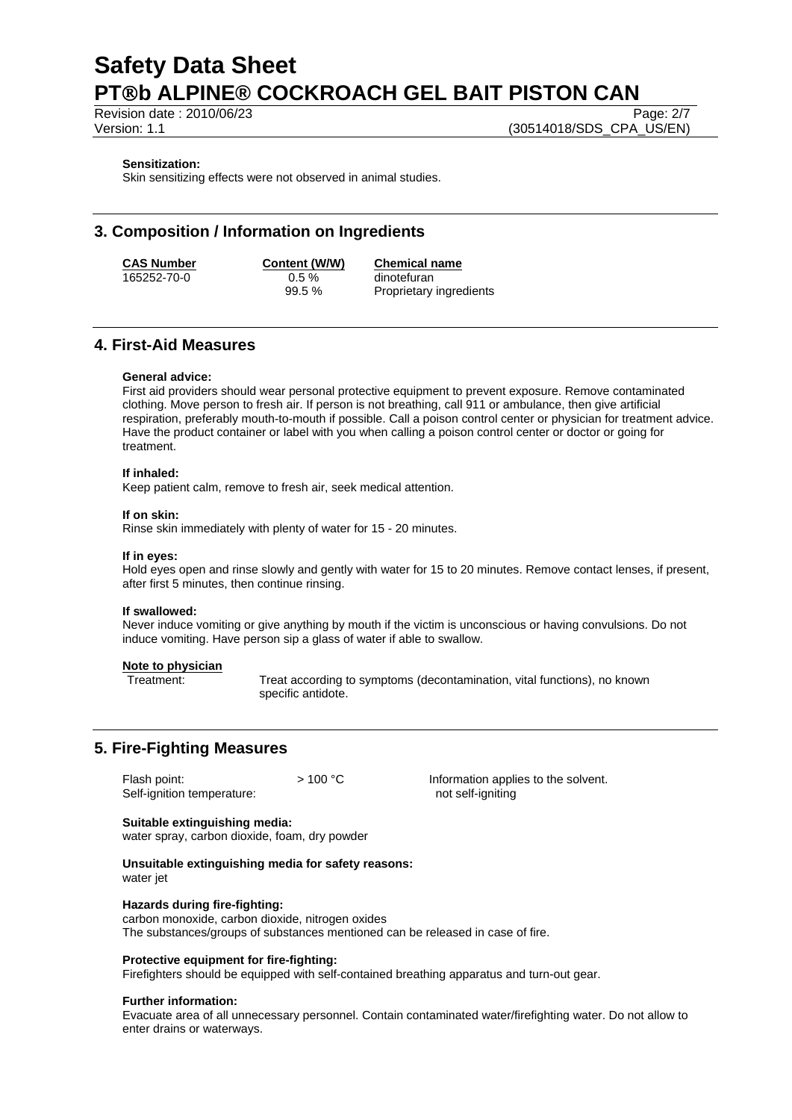Revision date : 2010/06/23 Page: 2/7

Version: 1.1 (30514018/SDS\_CPA\_US/EN)

### **Sensitization:**

Skin sensitizing effects were not observed in animal studies.

## **3. Composition / Information on Ingredients**

165252-70-0 0.5 % dinotefuran

**CAS Number Content (W/W) Chemical name** 99.5 % Proprietary ingredients

### **4. First-Aid Measures**

### **General advice:**

First aid providers should wear personal protective equipment to prevent exposure. Remove contaminated clothing. Move person to fresh air. If person is not breathing, call 911 or ambulance, then give artificial respiration, preferably mouth-to-mouth if possible. Call a poison control center or physician for treatment advice. Have the product container or label with you when calling a poison control center or doctor or going for treatment.

### **If inhaled:**

Keep patient calm, remove to fresh air, seek medical attention.

#### **If on skin:**

Rinse skin immediately with plenty of water for 15 - 20 minutes.

#### **If in eyes:**

Hold eyes open and rinse slowly and gently with water for 15 to 20 minutes. Remove contact lenses, if present, after first 5 minutes, then continue rinsing.

#### **If swallowed:**

Never induce vomiting or give anything by mouth if the victim is unconscious or having convulsions. Do not induce vomiting. Have person sip a glass of water if able to swallow.

### **Note to physician**

Treatment: Treat according to symptoms (decontamination, vital functions), no known specific antidote.

## **5. Fire-Fighting Measures**

Flash point:  $> 100 °C$  Information applies to the solvent. Self-ignition temperature: not self-igniting

### **Suitable extinguishing media:**

water spray, carbon dioxide, foam, dry powder

**Unsuitable extinguishing media for safety reasons:**  water *iet* 

#### **Hazards during fire-fighting:**

carbon monoxide, carbon dioxide, nitrogen oxides The substances/groups of substances mentioned can be released in case of fire.

#### **Protective equipment for fire-fighting:**

Firefighters should be equipped with self-contained breathing apparatus and turn-out gear.

### **Further information:**

Evacuate area of all unnecessary personnel. Contain contaminated water/firefighting water. Do not allow to enter drains or waterways.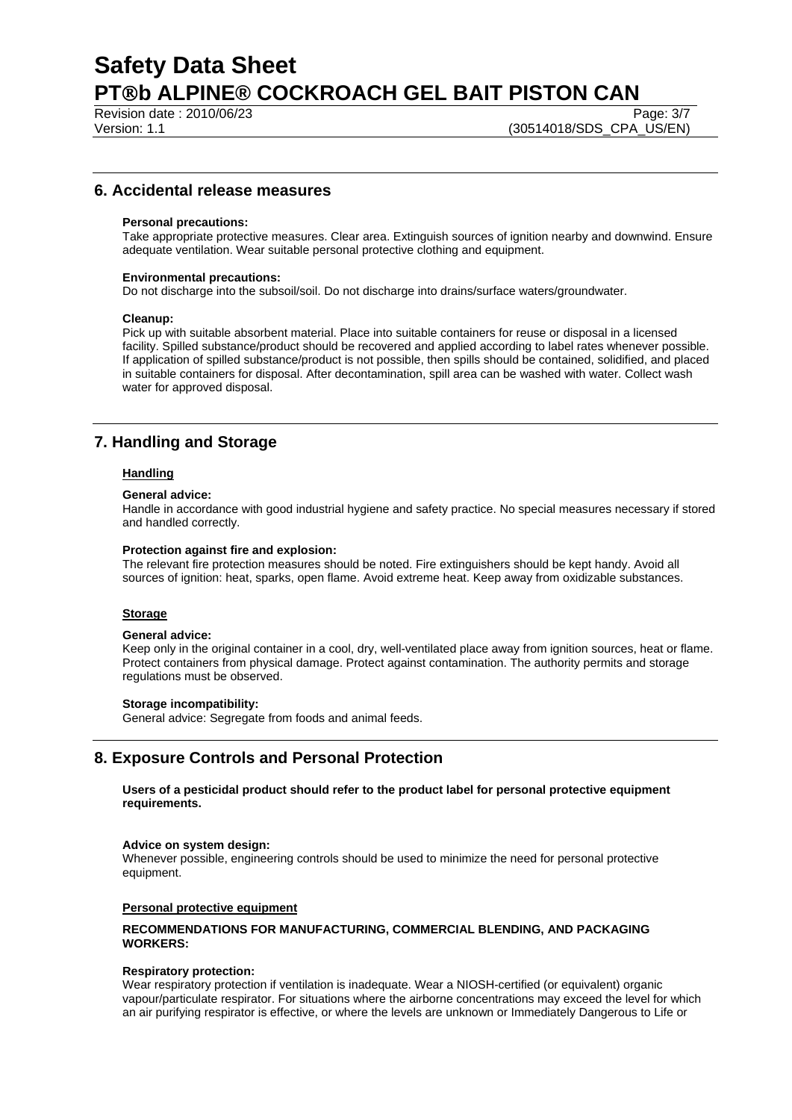Revision date : 2010/06/23 Page: 3/7

### **6. Accidental release measures**

### **Personal precautions:**

Take appropriate protective measures. Clear area. Extinguish sources of ignition nearby and downwind. Ensure adequate ventilation. Wear suitable personal protective clothing and equipment.

### **Environmental precautions:**

Do not discharge into the subsoil/soil. Do not discharge into drains/surface waters/groundwater.

### **Cleanup:**

Pick up with suitable absorbent material. Place into suitable containers for reuse or disposal in a licensed facility. Spilled substance/product should be recovered and applied according to label rates whenever possible. If application of spilled substance/product is not possible, then spills should be contained, solidified, and placed in suitable containers for disposal. After decontamination, spill area can be washed with water. Collect wash water for approved disposal.

## **7. Handling and Storage**

### **Handling**

### **General advice:**

Handle in accordance with good industrial hygiene and safety practice. No special measures necessary if stored and handled correctly.

### **Protection against fire and explosion:**

The relevant fire protection measures should be noted. Fire extinguishers should be kept handy. Avoid all sources of ignition: heat, sparks, open flame. Avoid extreme heat. Keep away from oxidizable substances.

### **Storage**

### **General advice:**

Keep only in the original container in a cool, dry, well-ventilated place away from ignition sources, heat or flame. Protect containers from physical damage. Protect against contamination. The authority permits and storage regulations must be observed.

### **Storage incompatibility:**

General advice: Segregate from foods and animal feeds.

### **8. Exposure Controls and Personal Protection**

**Users of a pesticidal product should refer to the product label for personal protective equipment requirements.** 

### **Advice on system design:**

Whenever possible, engineering controls should be used to minimize the need for personal protective equipment.

### **Personal protective equipment**

### **RECOMMENDATIONS FOR MANUFACTURING, COMMERCIAL BLENDING, AND PACKAGING WORKERS:**

### **Respiratory protection:**

Wear respiratory protection if ventilation is inadequate. Wear a NIOSH-certified (or equivalent) organic vapour/particulate respirator. For situations where the airborne concentrations may exceed the level for which an air purifying respirator is effective, or where the levels are unknown or Immediately Dangerous to Life or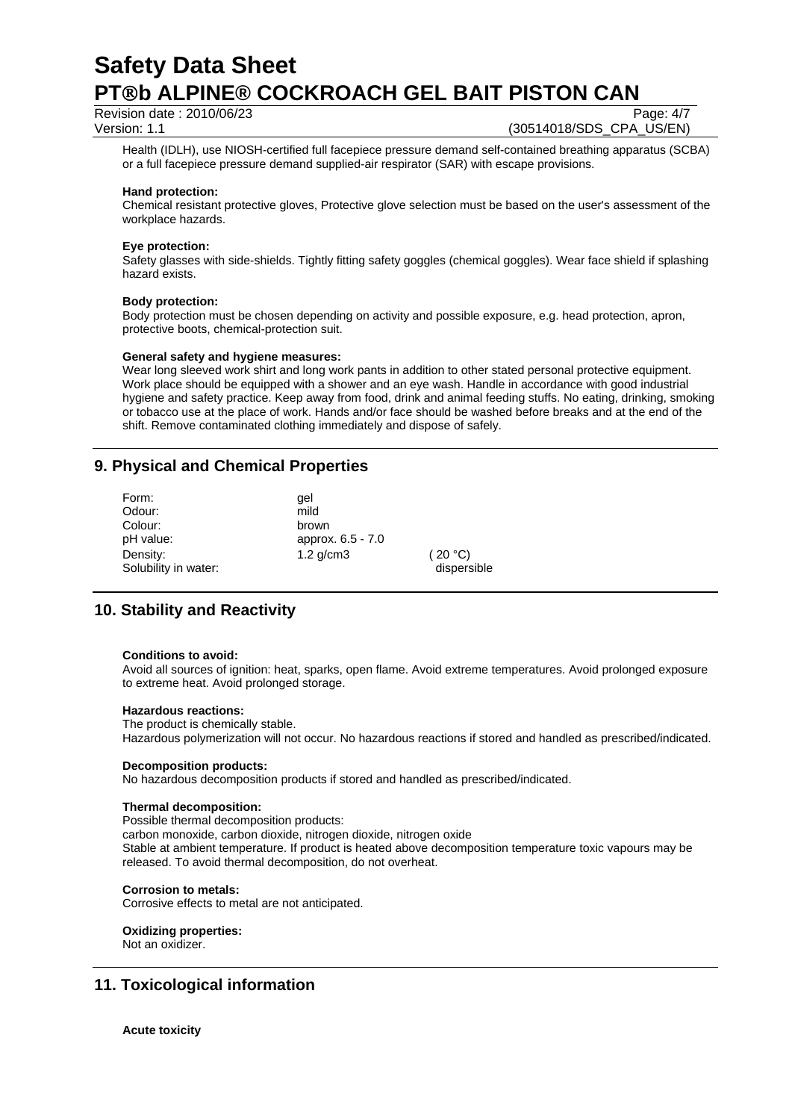Revision date : 2010/06/23 Page: 4/7

Version: 1.1 (30514018/SDS\_CPA\_US/EN)

Health (IDLH), use NIOSH-certified full facepiece pressure demand self-contained breathing apparatus (SCBA) or a full facepiece pressure demand supplied-air respirator (SAR) with escape provisions.

### **Hand protection:**

Chemical resistant protective gloves, Protective glove selection must be based on the user's assessment of the workplace hazards.

### **Eye protection:**

Safety glasses with side-shields. Tightly fitting safety goggles (chemical goggles). Wear face shield if splashing hazard exists.

### **Body protection:**

Body protection must be chosen depending on activity and possible exposure, e.g. head protection, apron, protective boots, chemical-protection suit.

### **General safety and hygiene measures:**

Wear long sleeved work shirt and long work pants in addition to other stated personal protective equipment. Work place should be equipped with a shower and an eye wash. Handle in accordance with good industrial hygiene and safety practice. Keep away from food, drink and animal feeding stuffs. No eating, drinking, smoking or tobacco use at the place of work. Hands and/or face should be washed before breaks and at the end of the shift. Remove contaminated clothing immediately and dispose of safely.

## **9. Physical and Chemical Properties**

| Form:                | qel               |             |
|----------------------|-------------------|-------------|
| Odour:               | mild              |             |
| Colour:              | brown             |             |
| pH value:            | approx. 6.5 - 7.0 |             |
| Density:             | $1.2$ g/cm $3$    | (20 °C)     |
| Solubility in water: |                   | dispersible |

## **10. Stability and Reactivity**

### **Conditions to avoid:**

Avoid all sources of ignition: heat, sparks, open flame. Avoid extreme temperatures. Avoid prolonged exposure to extreme heat. Avoid prolonged storage.

### **Hazardous reactions:**

The product is chemically stable.

Hazardous polymerization will not occur. No hazardous reactions if stored and handled as prescribed/indicated.

### **Decomposition products:**

No hazardous decomposition products if stored and handled as prescribed/indicated.

### **Thermal decomposition:**

Possible thermal decomposition products:

carbon monoxide, carbon dioxide, nitrogen dioxide, nitrogen oxide

Stable at ambient temperature. If product is heated above decomposition temperature toxic vapours may be released. To avoid thermal decomposition, do not overheat.

### **Corrosion to metals:**

Corrosive effects to metal are not anticipated.

**Oxidizing properties:**  Not an oxidizer.

## **11. Toxicological information**

**Acute toxicity**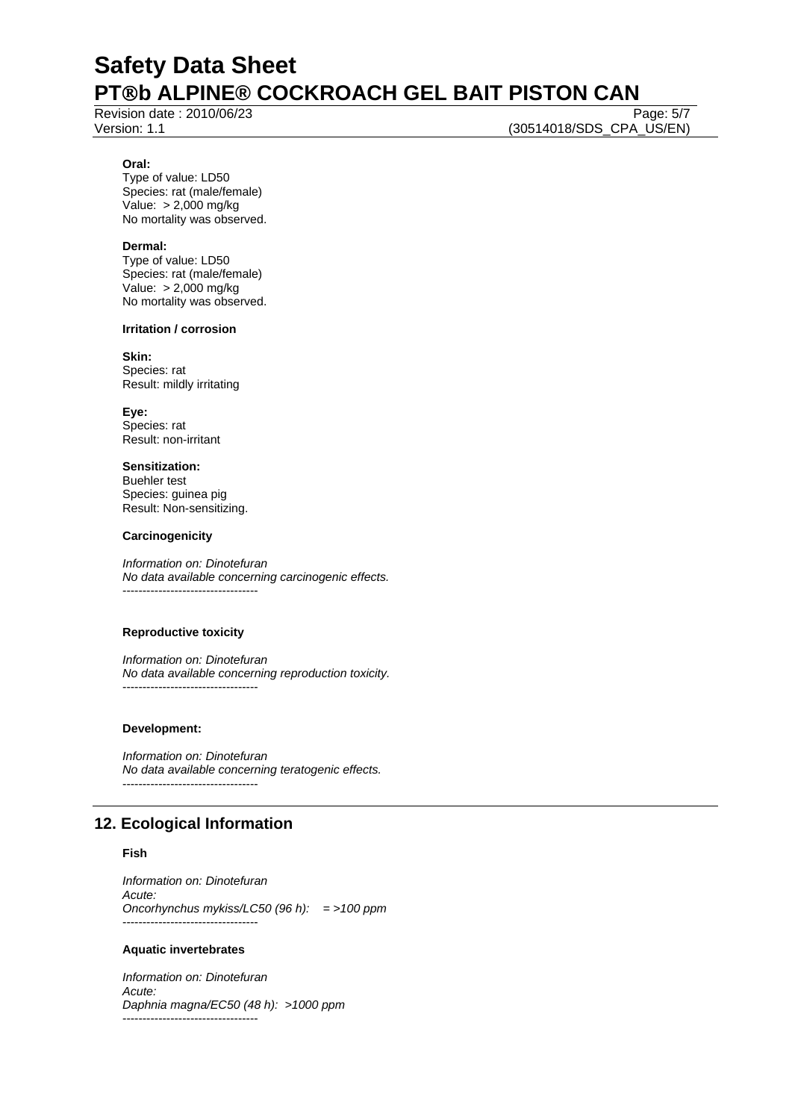Revision date : 2010/06/23 Page: 5/7

Version: 1.1 (30514018/SDS\_CPA\_US/EN)

### **Oral:**

Type of value: LD50 Species: rat (male/female) Value: > 2,000 mg/kg No mortality was observed.

### **Dermal:**

Type of value: LD50 Species: rat (male/female) Value: > 2,000 mg/kg No mortality was observed.

### **Irritation / corrosion**

**Skin:**  Species: rat Result: mildly irritating

**Eye:** Species: rat Result: non-irritant

**Sensitization:**  Buehler test Species: guinea pig Result: Non-sensitizing.

### **Carcinogenicity**

*Information on: Dinotefuran No data available concerning carcinogenic effects.*  ----------------------------------

### **Reproductive toxicity**

*Information on: Dinotefuran No data available concerning reproduction toxicity.*  ----------------------------------

### **Development:**

*Information on: Dinotefuran No data available concerning teratogenic effects.*  ----------------------------------

## **12. Ecological Information**

### **Fish**

*Information on: Dinotefuran Acute: Oncorhynchus mykiss/LC50 (96 h): = >100 ppm*  ----------------------------------

### **Aquatic invertebrates**

*Information on: Dinotefuran Acute: Daphnia magna/EC50 (48 h): >1000 ppm*  ----------------------------------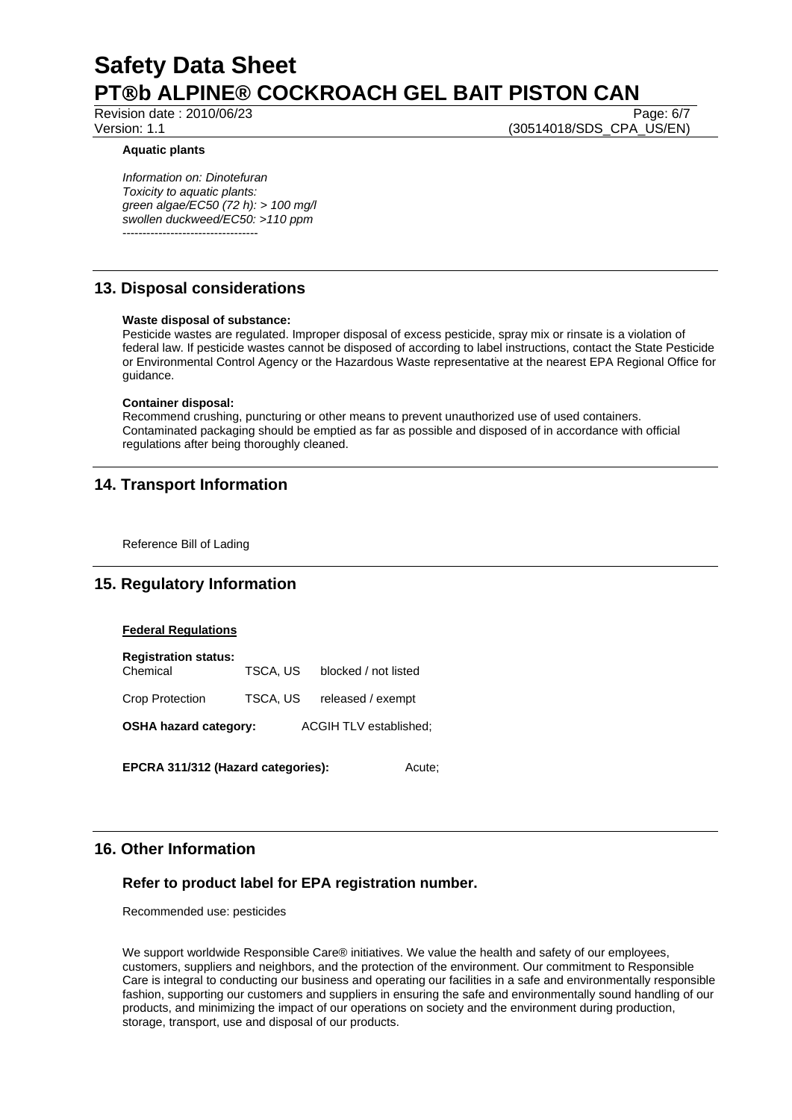Revision date : 2010/06/23 Page: 6/7

Version: 1.1 (30514018/SDS\_CPA\_US/EN)

### **Aquatic plants**

*Information on: Dinotefuran Toxicity to aquatic plants: green algae/EC50 (72 h): > 100 mg/l swollen duckweed/EC50: >110 ppm*  ----------------------------------

## **13. Disposal considerations**

### **Waste disposal of substance:**

Pesticide wastes are regulated. Improper disposal of excess pesticide, spray mix or rinsate is a violation of federal law. If pesticide wastes cannot be disposed of according to label instructions, contact the State Pesticide or Environmental Control Agency or the Hazardous Waste representative at the nearest EPA Regional Office for guidance.

### **Container disposal:**

Recommend crushing, puncturing or other means to prevent unauthorized use of used containers. Contaminated packaging should be emptied as far as possible and disposed of in accordance with official regulations after being thoroughly cleaned.

## **14. Transport Information**

Reference Bill of Lading

## **15. Regulatory Information**

### **Federal Regulations**

**Registration status:**  Chemical TSCA, US blocked / not listed Crop Protection TSCA, US released / exempt **OSHA hazard category:** ACGIH TLV established:

**EPCRA 311/312 (Hazard categories):** Acute;

## **16. Other Information**

### **Refer to product label for EPA registration number.**

Recommended use: pesticides

We support worldwide Responsible Care® initiatives. We value the health and safety of our employees, customers, suppliers and neighbors, and the protection of the environment. Our commitment to Responsible Care is integral to conducting our business and operating our facilities in a safe and environmentally responsible fashion, supporting our customers and suppliers in ensuring the safe and environmentally sound handling of our products, and minimizing the impact of our operations on society and the environment during production, storage, transport, use and disposal of our products.